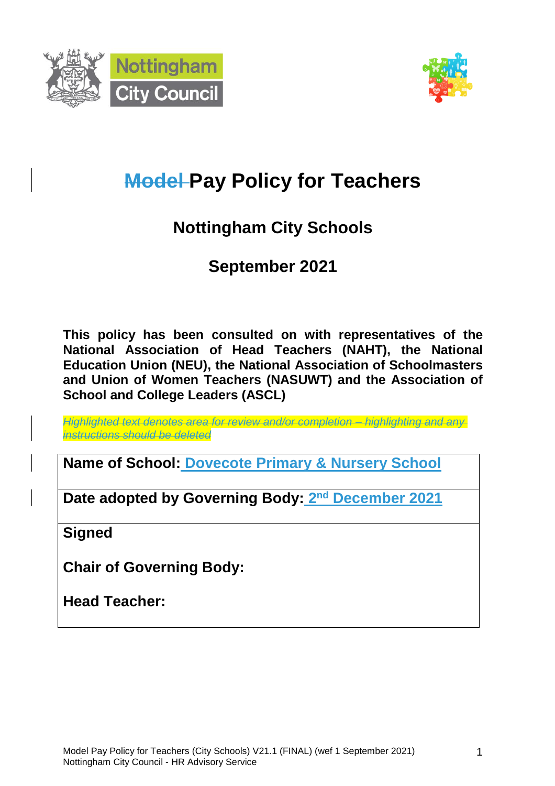



# **Model Pay Policy for Teachers**

## **Nottingham City Schools**

## **September 2021**

**This policy has been consulted on with representatives of the National Association of Head Teachers (NAHT), the National Education Union (NEU), the National Association of Schoolmasters and Union of Women Teachers (NASUWT) and the Association of School and College Leaders (ASCL)**

*Highlighted text denotes area for review and/or completion – highlighting and any instructions should be deleted*

**Name of School: Dovecote Primary & Nursery School**

**Date adopted by Governing Body: 2 nd December 2021**

**Signed**

**Chair of Governing Body:**

**Head Teacher:**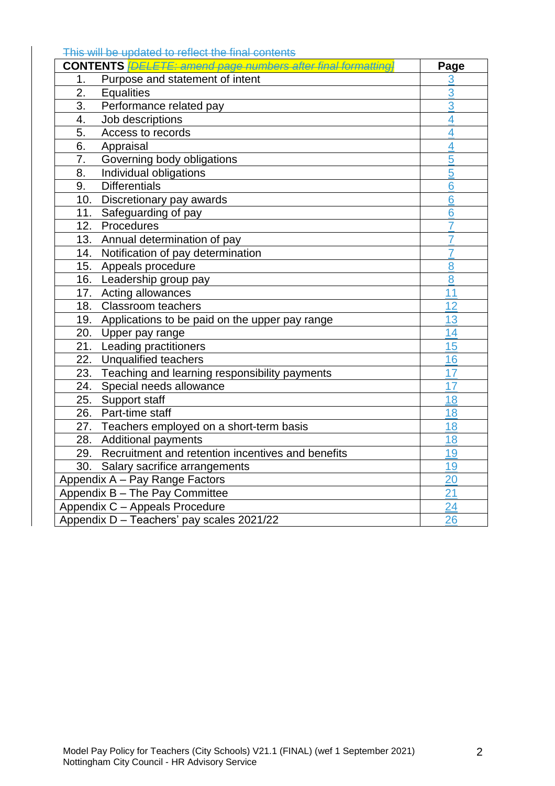This will be updated to reflect the final contents

| <b>CONTENTS</b> <i>[DELETE: amend page numbers after final formatting]</i> | Page           |
|----------------------------------------------------------------------------|----------------|
| Purpose and statement of intent<br>1 <sub>1</sub>                          | 3              |
| 2.<br><b>Equalities</b>                                                    | 3              |
| 3.<br>Performance related pay                                              | 3              |
| Job descriptions<br>4.                                                     | 4              |
| 5.<br>Access to records                                                    | 4              |
| 6.<br>Appraisal                                                            | 4              |
| Governing body obligations<br>7.                                           | 5              |
| 8.<br>Individual obligations                                               | $\overline{5}$ |
| <b>Differentials</b><br>9.                                                 | 6              |
| 10.<br>Discretionary pay awards                                            | 6              |
| 11.<br>Safeguarding of pay                                                 | 6              |
| 12.<br>Procedures                                                          | $\overline{7}$ |
| 13.<br>Annual determination of pay                                         | $\overline{7}$ |
| 14.<br>Notification of pay determination                                   | 7              |
| 15. Appeals procedure                                                      | 8              |
| 16. Leadership group pay                                                   | 8              |
| 17. Acting allowances                                                      | 11             |
| 18. Classroom teachers                                                     | 12             |
| 19. Applications to be paid on the upper pay range                         | 13             |
| 20. Upper pay range                                                        | 14             |
| 21. Leading practitioners                                                  | 15             |
| 22. Unqualified teachers                                                   | 16             |
| 23. Teaching and learning responsibility payments                          | 17             |
| Special needs allowance<br>24.                                             | 17             |
| 25.<br>Support staff                                                       | 18             |
| Part-time staff<br>26.                                                     | 18             |
| 27. Teachers employed on a short-term basis                                | 18             |
| 28. Additional payments                                                    | 18             |
| 29. Recruitment and retention incentives and benefits                      | 19             |
| 30.<br>Salary sacrifice arrangements                                       | 19             |
| Appendix A - Pay Range Factors                                             | 20             |
| Appendix B - The Pay Committee                                             | 21             |
| Appendix C - Appeals Procedure                                             | 24             |
| Appendix D - Teachers' pay scales 2021/22                                  | 26             |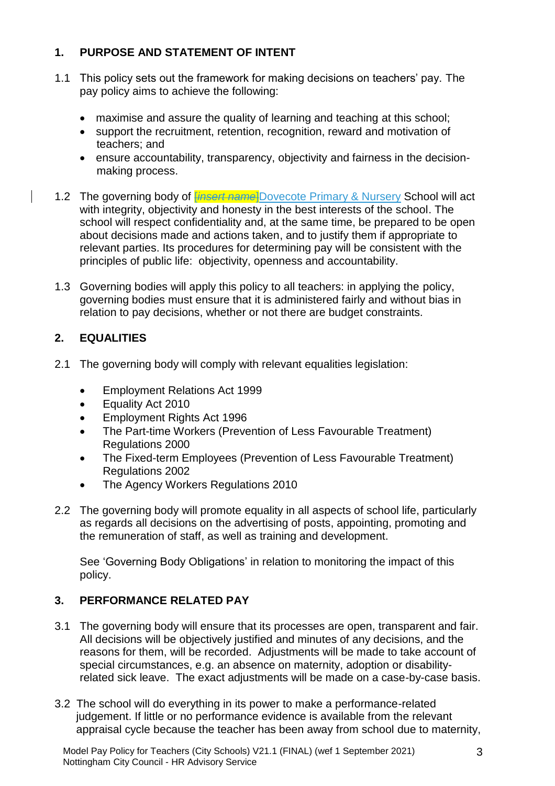## **1. PURPOSE AND STATEMENT OF INTENT**

- 1.1 This policy sets out the framework for making decisions on teachers' pay. The pay policy aims to achieve the following:
	- maximise and assure the quality of learning and teaching at this school;
	- support the recruitment, retention, recognition, reward and motivation of teachers; and
	- ensure accountability, transparency, objectivity and fairness in the decisionmaking process.
- 1.2 The governing body of *<i>insert name* Dovecote Primary & Nursery School will act with integrity, objectivity and honesty in the best interests of the school. The school will respect confidentiality and, at the same time, be prepared to be open about decisions made and actions taken, and to justify them if appropriate to relevant parties. Its procedures for determining pay will be consistent with the principles of public life: objectivity, openness and accountability.
- 1.3 Governing bodies will apply this policy to all teachers: in applying the policy, governing bodies must ensure that it is administered fairly and without bias in relation to pay decisions, whether or not there are budget constraints.

## **2. EQUALITIES**

- 2.1 The governing body will comply with relevant equalities legislation:
	- Employment Relations Act 1999
	- Equality Act 2010
	- Employment Rights Act 1996
	- The Part-time Workers (Prevention of Less Favourable Treatment) Regulations 2000
	- The Fixed-term Employees (Prevention of Less Favourable Treatment) Regulations 2002
	- The Agency Workers Regulations 2010
- 2.2 The governing body will promote equality in all aspects of school life, particularly as regards all decisions on the advertising of posts, appointing, promoting and the remuneration of staff, as well as training and development.

See 'Governing Body Obligations' in relation to monitoring the impact of this policy.

## **3. PERFORMANCE RELATED PAY**

- 3.1 The governing body will ensure that its processes are open, transparent and fair. All decisions will be objectively justified and minutes of any decisions, and the reasons for them, will be recorded. Adjustments will be made to take account of special circumstances, e.g. an absence on maternity, adoption or disabilityrelated sick leave. The exact adjustments will be made on a case-by-case basis.
- 3.2 The school will do everything in its power to make a performance-related judgement. If little or no performance evidence is available from the relevant appraisal cycle because the teacher has been away from school due to maternity,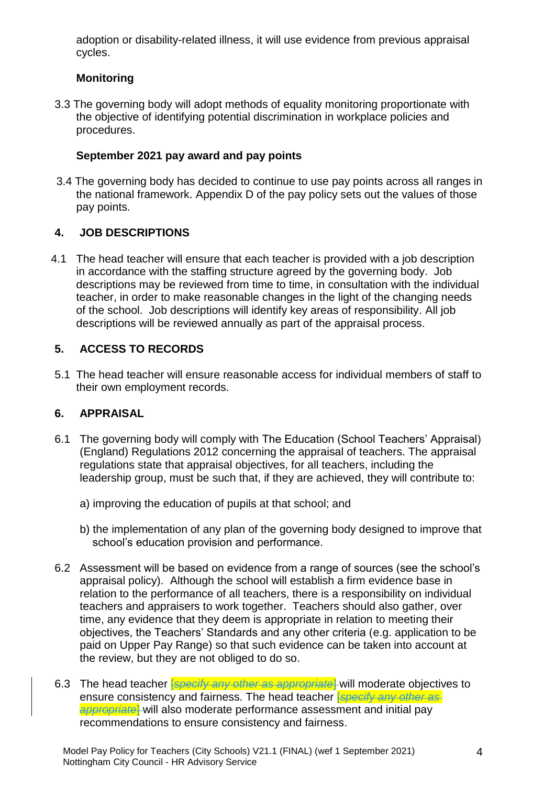adoption or disability-related illness, it will use evidence from previous appraisal cycles.

## **Monitoring**

3.3 The governing body will adopt methods of equality monitoring proportionate with the objective of identifying potential discrimination in workplace policies and procedures.

## **September 2021 pay award and pay points**

3.4 The governing body has decided to continue to use pay points across all ranges in the national framework. Appendix D of the pay policy sets out the values of those pay points.

## **4. JOB DESCRIPTIONS**

4.1 The head teacher will ensure that each teacher is provided with a job description in accordance with the staffing structure agreed by the governing body. Job descriptions may be reviewed from time to time, in consultation with the individual teacher, in order to make reasonable changes in the light of the changing needs of the school. Job descriptions will identify key areas of responsibility. All job descriptions will be reviewed annually as part of the appraisal process.

## **5. ACCESS TO RECORDS**

5.1 The head teacher will ensure reasonable access for individual members of staff to their own employment records.

## **6. APPRAISAL**

- 6.1 The governing body will comply with The Education (School Teachers' Appraisal) (England) Regulations 2012 concerning the appraisal of teachers. The appraisal regulations state that appraisal objectives, for all teachers, including the leadership group, must be such that, if they are achieved, they will contribute to:
	- a) improving the education of pupils at that school; and
	- b) the implementation of any plan of the governing body designed to improve that school's education provision and performance.
- 6.2 Assessment will be based on evidence from a range of sources (see the school's appraisal policy). Although the school will establish a firm evidence base in relation to the performance of all teachers, there is a responsibility on individual teachers and appraisers to work together. Teachers should also gather, over time, any evidence that they deem is appropriate in relation to meeting their objectives, the Teachers' Standards and any other criteria (e.g. application to be paid on Upper Pay Range) so that such evidence can be taken into account at the review, but they are not obliged to do so.
- 6.3 The head teacher [*specify any other as appropriate*] will moderate objectives to ensure consistency and fairness. The head teacher [*specify any other as appropriate*] will also moderate performance assessment and initial pay recommendations to ensure consistency and fairness.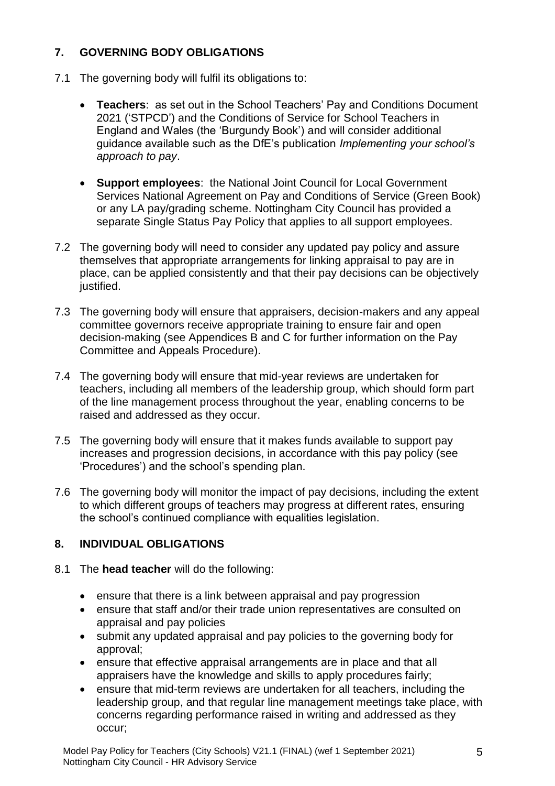## **7. GOVERNING BODY OBLIGATIONS**

- 7.1 The governing body will fulfil its obligations to:
	- **Teachers**: as set out in the School Teachers' Pay and Conditions Document 2021 ('STPCD') and the Conditions of Service for School Teachers in England and Wales (the 'Burgundy Book') and will consider additional guidance available such as the DfE's publication *Implementing your school's approach to pay*.
	- **Support employees**: the National Joint Council for Local Government Services National Agreement on Pay and Conditions of Service (Green Book) or any LA pay/grading scheme. Nottingham City Council has provided a separate Single Status Pay Policy that applies to all support employees.
- 7.2 The governing body will need to consider any updated pay policy and assure themselves that appropriate arrangements for linking appraisal to pay are in place, can be applied consistently and that their pay decisions can be objectively justified.
- 7.3 The governing body will ensure that appraisers, decision-makers and any appeal committee governors receive appropriate training to ensure fair and open decision-making (see Appendices B and C for further information on the Pay Committee and Appeals Procedure).
- 7.4 The governing body will ensure that mid-year reviews are undertaken for teachers, including all members of the leadership group, which should form part of the line management process throughout the year, enabling concerns to be raised and addressed as they occur.
- 7.5 The governing body will ensure that it makes funds available to support pay increases and progression decisions, in accordance with this pay policy (see 'Procedures') and the school's spending plan.
- 7.6 The governing body will monitor the impact of pay decisions, including the extent to which different groups of teachers may progress at different rates, ensuring the school's continued compliance with equalities legislation.

## **8. INDIVIDUAL OBLIGATIONS**

- 8.1 The **head teacher** will do the following:
	- ensure that there is a link between appraisal and pay progression
	- ensure that staff and/or their trade union representatives are consulted on appraisal and pay policies
	- submit any updated appraisal and pay policies to the governing body for approval;
	- ensure that effective appraisal arrangements are in place and that all appraisers have the knowledge and skills to apply procedures fairly;
	- ensure that mid-term reviews are undertaken for all teachers, including the leadership group, and that regular line management meetings take place, with concerns regarding performance raised in writing and addressed as they occur;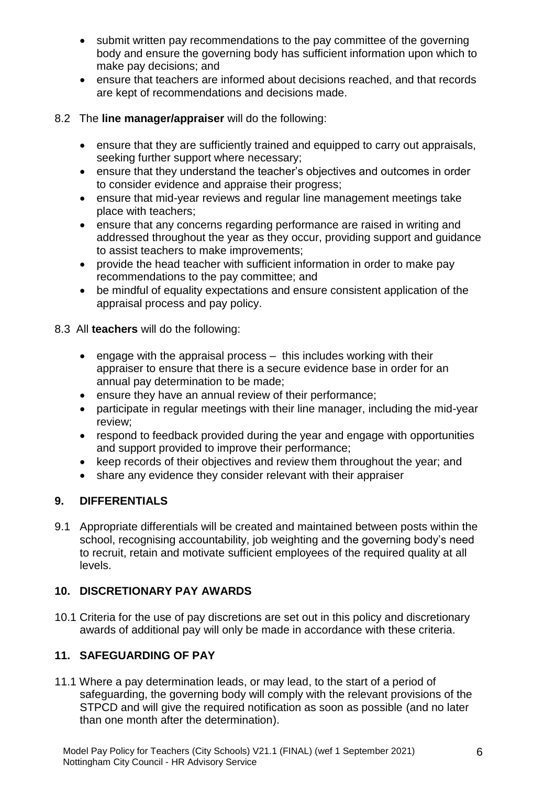- submit written pay recommendations to the pay committee of the governing body and ensure the governing body has sufficient information upon which to make pay decisions; and
- ensure that teachers are informed about decisions reached, and that records are kept of recommendations and decisions made.

#### 8.2 The **line manager/appraiser** will do the following:

- ensure that they are sufficiently trained and equipped to carry out appraisals, seeking further support where necessary;
- ensure that they understand the teacher's objectives and outcomes in order to consider evidence and appraise their progress;
- ensure that mid-year reviews and regular line management meetings take place with teachers;
- ensure that any concerns regarding performance are raised in writing and addressed throughout the year as they occur, providing support and guidance to assist teachers to make improvements;
- provide the head teacher with sufficient information in order to make pay recommendations to the pay committee; and
- be mindful of equality expectations and ensure consistent application of the appraisal process and pay policy.

8.3 All **teachers** will do the following:

- engage with the appraisal process this includes working with their appraiser to ensure that there is a secure evidence base in order for an annual pay determination to be made;
- ensure they have an annual review of their performance;
- participate in regular meetings with their line manager, including the mid-year review;
- respond to feedback provided during the year and engage with opportunities and support provided to improve their performance;
- keep records of their objectives and review them throughout the year; and
- share any evidence they consider relevant with their appraiser

## **9. DIFFERENTIALS**

9.1 Appropriate differentials will be created and maintained between posts within the school, recognising accountability, job weighting and the governing body's need to recruit, retain and motivate sufficient employees of the required quality at all levels.

## **10. DISCRETIONARY PAY AWARDS**

10.1 Criteria for the use of pay discretions are set out in this policy and discretionary awards of additional pay will only be made in accordance with these criteria.

## **11. SAFEGUARDING OF PAY**

11.1 Where a pay determination leads, or may lead, to the start of a period of safeguarding, the governing body will comply with the relevant provisions of the STPCD and will give the required notification as soon as possible (and no later than one month after the determination).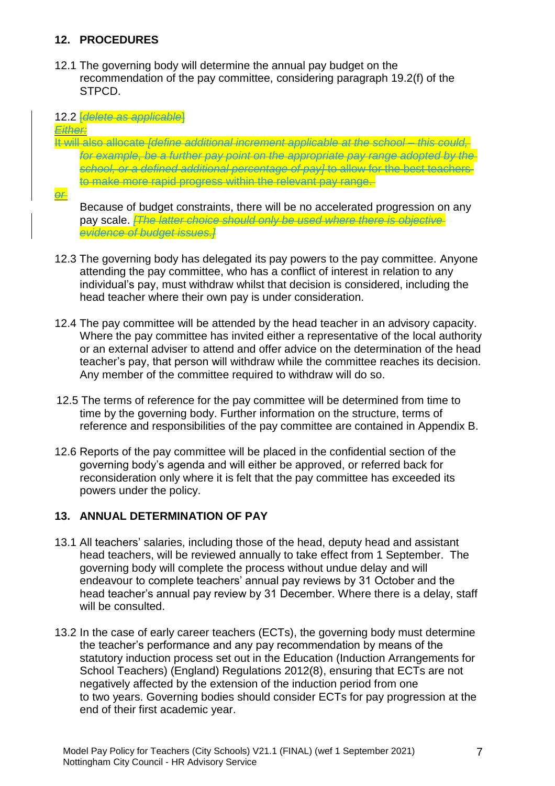## **12. PROCEDURES**

12.1 The governing body will determine the annual pay budget on the recommendation of the pay committee, considering paragraph 19.2(f) of the STPCD.

#### 12.2 [*delete as applicable*]

*Either:*

#### It will also allocate *[define additional increment applicable at the school – this could, for example, be a further pay point on the appropriate pay range adopted by the school, or a defined additional percentage of pay]* to allow for the best teachers to make more rapid progress within the relevant pay range.

*or*

Because of budget constraints, there will be no accelerated progression on any pay scale. *[The latter choice should only be used where there is objective evidence of budget issues.]*

- 12.3 The governing body has delegated its pay powers to the pay committee. Anyone attending the pay committee, who has a conflict of interest in relation to any individual's pay, must withdraw whilst that decision is considered, including the head teacher where their own pay is under consideration.
- 12.4 The pay committee will be attended by the head teacher in an advisory capacity. Where the pay committee has invited either a representative of the local authority or an external adviser to attend and offer advice on the determination of the head teacher's pay, that person will withdraw while the committee reaches its decision. Any member of the committee required to withdraw will do so.
- 12.5 The terms of reference for the pay committee will be determined from time to time by the governing body. Further information on the structure, terms of reference and responsibilities of the pay committee are contained in Appendix B.
- 12.6 Reports of the pay committee will be placed in the confidential section of the governing body's agenda and will either be approved, or referred back for reconsideration only where it is felt that the pay committee has exceeded its powers under the policy.

#### **13. ANNUAL DETERMINATION OF PAY**

- 13.1 All teachers' salaries, including those of the head, deputy head and assistant head teachers, will be reviewed annually to take effect from 1 September. The governing body will complete the process without undue delay and will endeavour to complete teachers' annual pay reviews by 31 October and the head teacher's annual pay review by 31 December. Where there is a delay, staff will be consulted.
- 13.2 In the case of early career teachers (ECTs), the governing body must determine the teacher's performance and any pay recommendation by means of the statutory induction process set out in the Education (Induction Arrangements for School Teachers) (England) Regulations 2012(8), ensuring that ECTs are not negatively affected by the extension of the induction period from one to two years. Governing bodies should consider ECTs for pay progression at the end of their first academic year.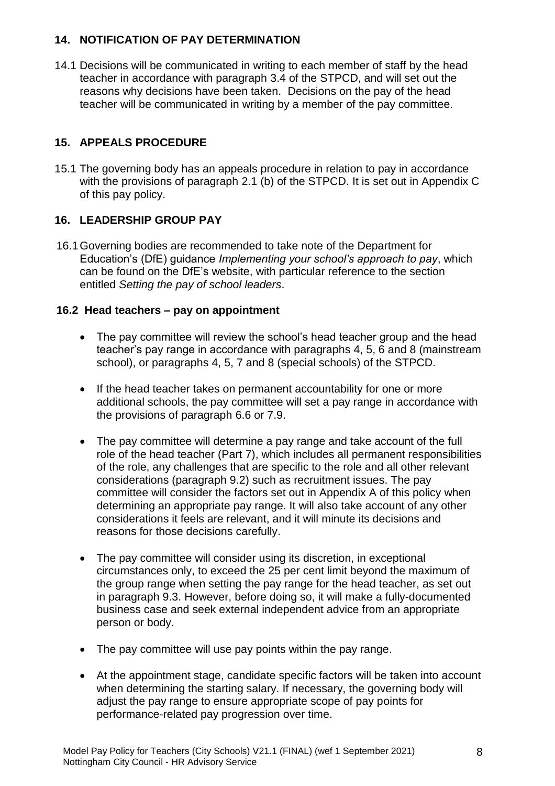#### **14. NOTIFICATION OF PAY DETERMINATION**

14.1 Decisions will be communicated in writing to each member of staff by the head teacher in accordance with paragraph 3.4 of the STPCD, and will set out the reasons why decisions have been taken. Decisions on the pay of the head teacher will be communicated in writing by a member of the pay committee.

## **15. APPEALS PROCEDURE**

15.1 The governing body has an appeals procedure in relation to pay in accordance with the provisions of paragraph 2.1 (b) of the STPCD. It is set out in Appendix C of this pay policy.

## **16. LEADERSHIP GROUP PAY**

16.1Governing bodies are recommended to take note of the Department for Education's (DfE) guidance *Implementing your school's approach to pay*, which can be found on the DfE's website, with particular reference to the section entitled *Setting the pay of school leaders*.

## **16.2 Head teachers – pay on appointment**

- The pay committee will review the school's head teacher group and the head teacher's pay range in accordance with paragraphs 4, 5, 6 and 8 (mainstream school), or paragraphs 4, 5, 7 and 8 (special schools) of the STPCD.
- If the head teacher takes on permanent accountability for one or more additional schools, the pay committee will set a pay range in accordance with the provisions of paragraph 6.6 or 7.9.
- The pay committee will determine a pay range and take account of the full role of the head teacher (Part 7), which includes all permanent responsibilities of the role, any challenges that are specific to the role and all other relevant considerations (paragraph 9.2) such as recruitment issues. The pay committee will consider the factors set out in Appendix A of this policy when determining an appropriate pay range. It will also take account of any other considerations it feels are relevant, and it will minute its decisions and reasons for those decisions carefully.
- The pay committee will consider using its discretion, in exceptional circumstances only, to exceed the 25 per cent limit beyond the maximum of the group range when setting the pay range for the head teacher, as set out in paragraph 9.3. However, before doing so, it will make a fully-documented business case and seek external independent advice from an appropriate person or body.
- The pay committee will use pay points within the pay range.
- At the appointment stage, candidate specific factors will be taken into account when determining the starting salary. If necessary, the governing body will adjust the pay range to ensure appropriate scope of pay points for performance-related pay progression over time.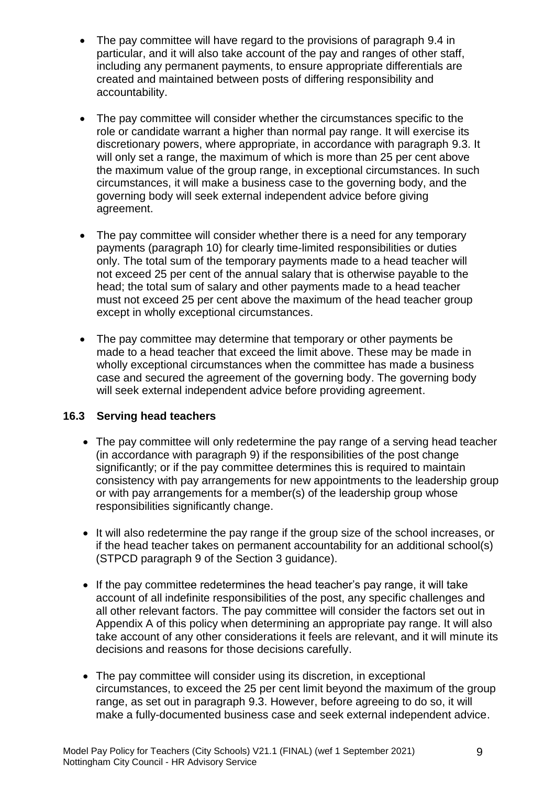- The pay committee will have regard to the provisions of paragraph 9.4 in particular, and it will also take account of the pay and ranges of other staff, including any permanent payments, to ensure appropriate differentials are created and maintained between posts of differing responsibility and accountability.
- The pay committee will consider whether the circumstances specific to the role or candidate warrant a higher than normal pay range. It will exercise its discretionary powers, where appropriate, in accordance with paragraph 9.3. It will only set a range, the maximum of which is more than 25 per cent above the maximum value of the group range, in exceptional circumstances. In such circumstances, it will make a business case to the governing body, and the governing body will seek external independent advice before giving agreement.
- The pay committee will consider whether there is a need for any temporary payments (paragraph 10) for clearly time-limited responsibilities or duties only. The total sum of the temporary payments made to a head teacher will not exceed 25 per cent of the annual salary that is otherwise payable to the head; the total sum of salary and other payments made to a head teacher must not exceed 25 per cent above the maximum of the head teacher group except in wholly exceptional circumstances.
- The pay committee may determine that temporary or other payments be made to a head teacher that exceed the limit above. These may be made in wholly exceptional circumstances when the committee has made a business case and secured the agreement of the governing body. The governing body will seek external independent advice before providing agreement.

#### **16.3 Serving head teachers**

- The pay committee will only redetermine the pay range of a serving head teacher (in accordance with paragraph 9) if the responsibilities of the post change significantly; or if the pay committee determines this is required to maintain consistency with pay arrangements for new appointments to the leadership group or with pay arrangements for a member(s) of the leadership group whose responsibilities significantly change.
- It will also redetermine the pay range if the group size of the school increases, or if the head teacher takes on permanent accountability for an additional school(s) (STPCD paragraph 9 of the Section 3 guidance).
- If the pay committee redetermines the head teacher's pay range, it will take account of all indefinite responsibilities of the post, any specific challenges and all other relevant factors. The pay committee will consider the factors set out in Appendix A of this policy when determining an appropriate pay range. It will also take account of any other considerations it feels are relevant, and it will minute its decisions and reasons for those decisions carefully.
- The pay committee will consider using its discretion, in exceptional circumstances, to exceed the 25 per cent limit beyond the maximum of the group range, as set out in paragraph 9.3. However, before agreeing to do so, it will make a fully-documented business case and seek external independent advice.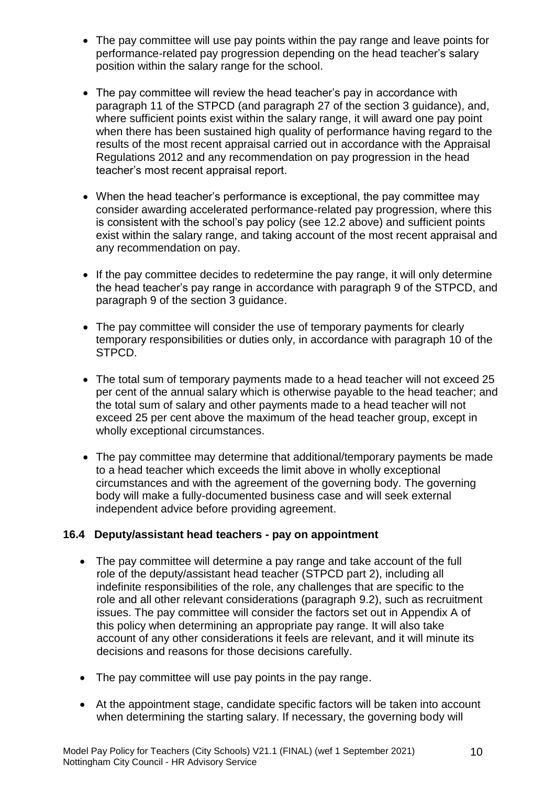- The pay committee will use pay points within the pay range and leave points for performance-related pay progression depending on the head teacher's salary position within the salary range for the school.
- The pay committee will review the head teacher's pay in accordance with paragraph 11 of the STPCD (and paragraph 27 of the section 3 guidance), and, where sufficient points exist within the salary range, it will award one pay point when there has been sustained high quality of performance having regard to the results of the most recent appraisal carried out in accordance with the Appraisal Regulations 2012 and any recommendation on pay progression in the head teacher's most recent appraisal report.
- When the head teacher's performance is exceptional, the pay committee may consider awarding accelerated performance-related pay progression, where this is consistent with the school's pay policy (see 12.2 above) and sufficient points exist within the salary range, and taking account of the most recent appraisal and any recommendation on pay.
- If the pay committee decides to redetermine the pay range, it will only determine the head teacher's pay range in accordance with paragraph 9 of the STPCD, and paragraph 9 of the section 3 guidance.
- The pay committee will consider the use of temporary payments for clearly temporary responsibilities or duties only, in accordance with paragraph 10 of the STPCD.
- The total sum of temporary payments made to a head teacher will not exceed 25 per cent of the annual salary which is otherwise payable to the head teacher; and the total sum of salary and other payments made to a head teacher will not exceed 25 per cent above the maximum of the head teacher group, except in wholly exceptional circumstances.
- The pay committee may determine that additional/temporary payments be made to a head teacher which exceeds the limit above in wholly exceptional circumstances and with the agreement of the governing body. The governing body will make a fully-documented business case and will seek external independent advice before providing agreement.

#### **16.4 Deputy/assistant head teachers - pay on appointment**

- The pay committee will determine a pay range and take account of the full role of the deputy/assistant head teacher (STPCD part 2), including all indefinite responsibilities of the role, any challenges that are specific to the role and all other relevant considerations (paragraph 9.2), such as recruitment issues. The pay committee will consider the factors set out in Appendix A of this policy when determining an appropriate pay range. It will also take account of any other considerations it feels are relevant, and it will minute its decisions and reasons for those decisions carefully.
- The pay committee will use pay points in the pay range.
- At the appointment stage, candidate specific factors will be taken into account when determining the starting salary. If necessary, the governing body will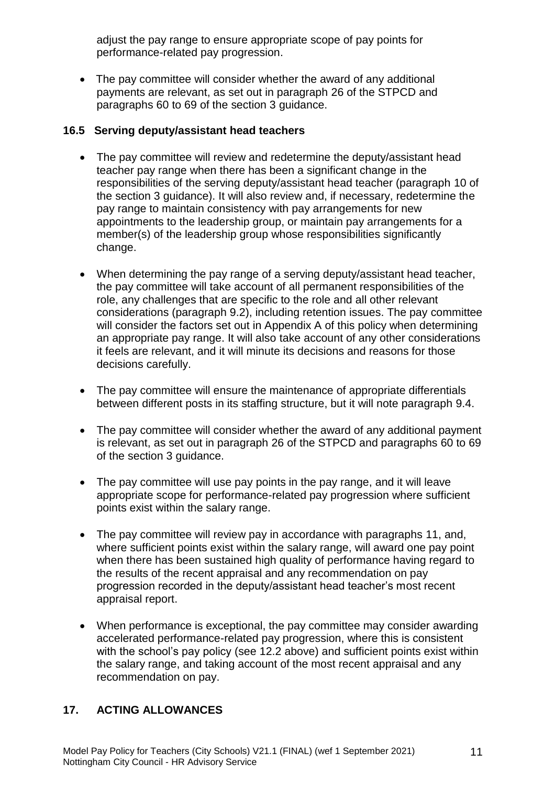adjust the pay range to ensure appropriate scope of pay points for performance-related pay progression.

• The pay committee will consider whether the award of any additional payments are relevant, as set out in paragraph 26 of the STPCD and paragraphs 60 to 69 of the section 3 guidance.

#### **16.5 Serving deputy/assistant head teachers**

- The pay committee will review and redetermine the deputy/assistant head teacher pay range when there has been a significant change in the responsibilities of the serving deputy/assistant head teacher (paragraph 10 of the section 3 guidance). It will also review and, if necessary, redetermine the pay range to maintain consistency with pay arrangements for new appointments to the leadership group, or maintain pay arrangements for a member(s) of the leadership group whose responsibilities significantly change.
- When determining the pay range of a serving deputy/assistant head teacher, the pay committee will take account of all permanent responsibilities of the role, any challenges that are specific to the role and all other relevant considerations (paragraph 9.2), including retention issues. The pay committee will consider the factors set out in Appendix A of this policy when determining an appropriate pay range. It will also take account of any other considerations it feels are relevant, and it will minute its decisions and reasons for those decisions carefully.
- The pay committee will ensure the maintenance of appropriate differentials between different posts in its staffing structure, but it will note paragraph 9.4.
- The pay committee will consider whether the award of any additional payment is relevant, as set out in paragraph 26 of the STPCD and paragraphs 60 to 69 of the section 3 guidance.
- The pay committee will use pay points in the pay range, and it will leave appropriate scope for performance-related pay progression where sufficient points exist within the salary range.
- The pay committee will review pay in accordance with paragraphs 11, and, where sufficient points exist within the salary range, will award one pay point when there has been sustained high quality of performance having regard to the results of the recent appraisal and any recommendation on pay progression recorded in the deputy/assistant head teacher's most recent appraisal report.
- When performance is exceptional, the pay committee may consider awarding accelerated performance-related pay progression, where this is consistent with the school's pay policy (see 12.2 above) and sufficient points exist within the salary range, and taking account of the most recent appraisal and any recommendation on pay.

#### **17. ACTING ALLOWANCES**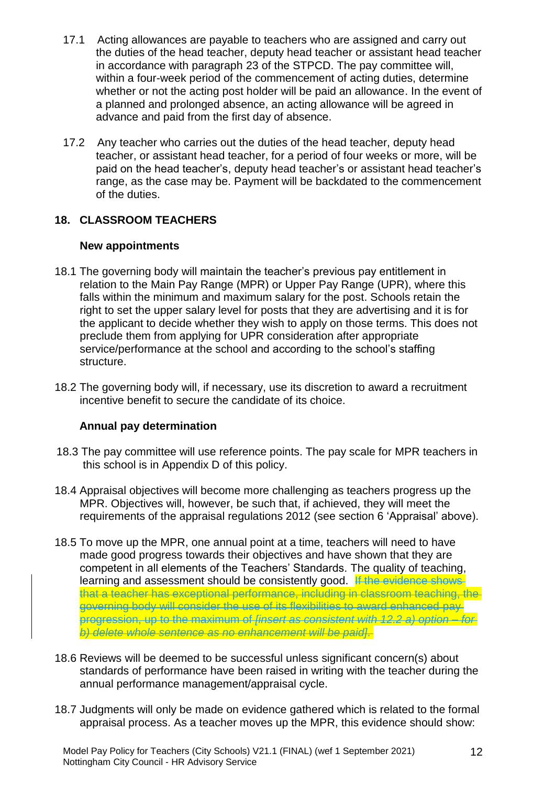- 17.1 Acting allowances are payable to teachers who are assigned and carry out the duties of the head teacher, deputy head teacher or assistant head teacher in accordance with paragraph 23 of the STPCD. The pay committee will, within a four-week period of the commencement of acting duties, determine whether or not the acting post holder will be paid an allowance. In the event of a planned and prolonged absence, an acting allowance will be agreed in advance and paid from the first day of absence.
- 17.2 Any teacher who carries out the duties of the head teacher, deputy head teacher, or assistant head teacher, for a period of four weeks or more, will be paid on the head teacher's, deputy head teacher's or assistant head teacher's range, as the case may be. Payment will be backdated to the commencement of the duties.

## **18. CLASSROOM TEACHERS**

#### **New appointments**

- 18.1 The governing body will maintain the teacher's previous pay entitlement in relation to the Main Pay Range (MPR) or Upper Pay Range (UPR), where this falls within the minimum and maximum salary for the post. Schools retain the right to set the upper salary level for posts that they are advertising and it is for the applicant to decide whether they wish to apply on those terms. This does not preclude them from applying for UPR consideration after appropriate service/performance at the school and according to the school's staffing structure.
- 18.2 The governing body will, if necessary, use its discretion to award a recruitment incentive benefit to secure the candidate of its choice.

#### **Annual pay determination**

- 18.3 The pay committee will use reference points. The pay scale for MPR teachers in this school is in Appendix D of this policy.
- 18.4 Appraisal objectives will become more challenging as teachers progress up the MPR. Objectives will, however, be such that, if achieved, they will meet the requirements of the appraisal regulations 2012 (see section 6 'Appraisal' above).
- 18.5 To move up the MPR, one annual point at a time, teachers will need to have made good progress towards their objectives and have shown that they are competent in all elements of the Teachers' Standards. The quality of teaching, learning and assessment should be consistently good. If the evidence shows that a teacher has exceptional performance, including in classroom teaching, the governing body will consider the use of its flexibilities to award enhanced pay progression, up to the maximum of *[insert as consistent with 12.2 a) option – for b) delete whole sentence as no enhancement will be paid]*.
- 18.6 Reviews will be deemed to be successful unless significant concern(s) about standards of performance have been raised in writing with the teacher during the annual performance management/appraisal cycle.
- 18.7 Judgments will only be made on evidence gathered which is related to the formal appraisal process. As a teacher moves up the MPR, this evidence should show: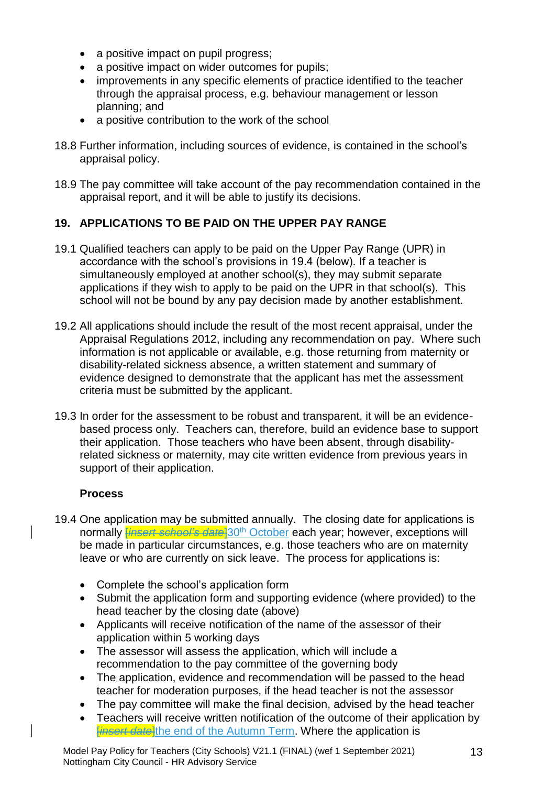- a positive impact on pupil progress;
- a positive impact on wider outcomes for pupils;
- improvements in any specific elements of practice identified to the teacher through the appraisal process, e.g. behaviour management or lesson planning; and
- a positive contribution to the work of the school
- 18.8 Further information, including sources of evidence, is contained in the school's appraisal policy.
- 18.9 The pay committee will take account of the pay recommendation contained in the appraisal report, and it will be able to justify its decisions.

## **19. APPLICATIONS TO BE PAID ON THE UPPER PAY RANGE**

- 19.1 Qualified teachers can apply to be paid on the Upper Pay Range (UPR) in accordance with the school's provisions in 19.4 (below). If a teacher is simultaneously employed at another school(s), they may submit separate applications if they wish to apply to be paid on the UPR in that school(s). This school will not be bound by any pay decision made by another establishment.
- 19.2 All applications should include the result of the most recent appraisal, under the Appraisal Regulations 2012, including any recommendation on pay. Where such information is not applicable or available, e.g. those returning from maternity or disability-related sickness absence, a written statement and summary of evidence designed to demonstrate that the applicant has met the assessment criteria must be submitted by the applicant.
- 19.3 In order for the assessment to be robust and transparent, it will be an evidencebased process only. Teachers can, therefore, build an evidence base to support their application. Those teachers who have been absent, through disabilityrelated sickness or maternity, may cite written evidence from previous years in support of their application.

#### **Process**

- 19.4 One application may be submitted annually. The closing date for applications is normally [*insert school's date*]30th October each year; however, exceptions will be made in particular circumstances, e.g. those teachers who are on maternity leave or who are currently on sick leave. The process for applications is:
	- Complete the school's application form
	- Submit the application form and supporting evidence (where provided) to the head teacher by the closing date (above)
	- Applicants will receive notification of the name of the assessor of their application within 5 working days
	- The assessor will assess the application, which will include a recommendation to the pay committee of the governing body
	- The application, evidence and recommendation will be passed to the head teacher for moderation purposes, if the head teacher is not the assessor
	- The pay committee will make the final decision, advised by the head teacher
	- Teachers will receive written notification of the outcome of their application by *<u>Einsert date</u>*the end of the Autumn Term. Where the application is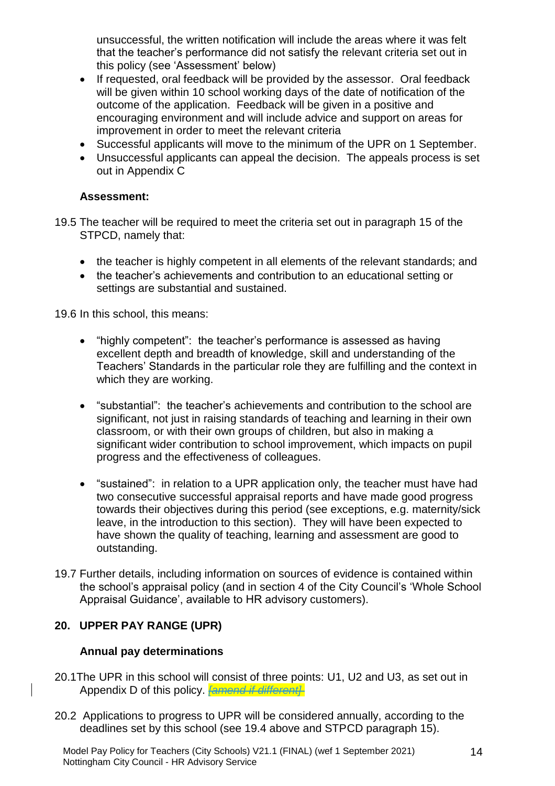unsuccessful, the written notification will include the areas where it was felt that the teacher's performance did not satisfy the relevant criteria set out in this policy (see 'Assessment' below)

- If requested, oral feedback will be provided by the assessor. Oral feedback will be given within 10 school working days of the date of notification of the outcome of the application. Feedback will be given in a positive and encouraging environment and will include advice and support on areas for improvement in order to meet the relevant criteria
- Successful applicants will move to the minimum of the UPR on 1 September.
- Unsuccessful applicants can appeal the decision. The appeals process is set out in Appendix C

#### **Assessment:**

19.5 The teacher will be required to meet the criteria set out in paragraph 15 of the STPCD, namely that:

- the teacher is highly competent in all elements of the relevant standards; and
- the teacher's achievements and contribution to an educational setting or settings are substantial and sustained.

19.6 In this school, this means:

- "highly competent": the teacher's performance is assessed as having excellent depth and breadth of knowledge, skill and understanding of the Teachers' Standards in the particular role they are fulfilling and the context in which they are working.
- "substantial": the teacher's achievements and contribution to the school are significant, not just in raising standards of teaching and learning in their own classroom, or with their own groups of children, but also in making a significant wider contribution to school improvement, which impacts on pupil progress and the effectiveness of colleagues.
- "sustained": in relation to a UPR application only, the teacher must have had two consecutive successful appraisal reports and have made good progress towards their objectives during this period (see exceptions, e.g. maternity/sick leave, in the introduction to this section). They will have been expected to have shown the quality of teaching, learning and assessment are good to outstanding.
- 19.7 Further details, including information on sources of evidence is contained within the school's appraisal policy (and in section 4 of the City Council's 'Whole School Appraisal Guidance', available to HR advisory customers).

#### **20. UPPER PAY RANGE (UPR)**

#### **Annual pay determinations**

- 20.1The UPR in this school will consist of three points: U1, U2 and U3, as set out in Appendix D of this policy. *[amend if different]*
- 20.2 Applications to progress to UPR will be considered annually, according to the deadlines set by this school (see 19.4 above and STPCD paragraph 15).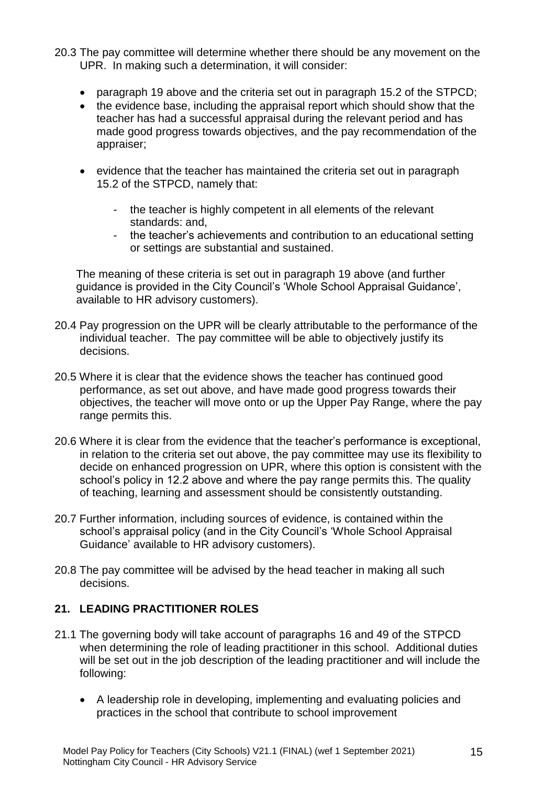- 20.3 The pay committee will determine whether there should be any movement on the UPR. In making such a determination, it will consider:
	- paragraph 19 above and the criteria set out in paragraph 15.2 of the STPCD;
	- the evidence base, including the appraisal report which should show that the teacher has had a successful appraisal during the relevant period and has made good progress towards objectives, and the pay recommendation of the appraiser;
	- evidence that the teacher has maintained the criteria set out in paragraph 15.2 of the STPCD, namely that:
		- the teacher is highly competent in all elements of the relevant standards: and,
		- the teacher's achievements and contribution to an educational setting or settings are substantial and sustained.

The meaning of these criteria is set out in paragraph 19 above (and further guidance is provided in the City Council's 'Whole School Appraisal Guidance', available to HR advisory customers).

- 20.4 Pay progression on the UPR will be clearly attributable to the performance of the individual teacher. The pay committee will be able to objectively justify its decisions.
- 20.5 Where it is clear that the evidence shows the teacher has continued good performance, as set out above, and have made good progress towards their objectives, the teacher will move onto or up the Upper Pay Range, where the pay range permits this.
- 20.6 Where it is clear from the evidence that the teacher's performance is exceptional, in relation to the criteria set out above, the pay committee may use its flexibility to decide on enhanced progression on UPR, where this option is consistent with the school's policy in 12.2 above and where the pay range permits this. The quality of teaching, learning and assessment should be consistently outstanding.
- 20.7 Further information, including sources of evidence, is contained within the school's appraisal policy (and in the City Council's 'Whole School Appraisal Guidance' available to HR advisory customers).
- 20.8 The pay committee will be advised by the head teacher in making all such decisions.

#### **21. LEADING PRACTITIONER ROLES**

- 21.1 The governing body will take account of paragraphs 16 and 49 of the STPCD when determining the role of leading practitioner in this school. Additional duties will be set out in the job description of the leading practitioner and will include the following:
	- A leadership role in developing, implementing and evaluating policies and practices in the school that contribute to school improvement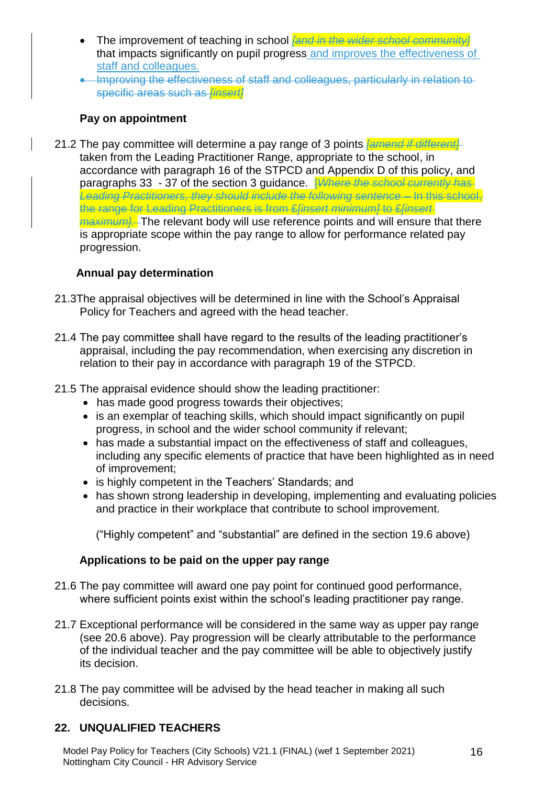- The improvement of teaching in school *[and in the wider school community]* that impacts significantly on pupil progress and improves the effectiveness of staff and colleagues.
- Improving the effectiveness of staff and colleagues, particularly in relation to specific areas such as *[insert]*

## **Pay on appointment**

21.2 The pay committee will determine a pay range of 3 points *[amend if different]* taken from the Leading Practitioner Range, appropriate to the school, in accordance with paragraph 16 of the STPCD and Appendix D of this policy, and paragraphs 33 - 37 of the section 3 guidance. [*Where the school currently has Leading Practitioners, they should include the following sentence –* In this school, the range for Leading Practitioners is from £*[insert minimum]* to £*[insert maximum].* The relevant body will use reference points and will ensure that there is appropriate scope within the pay range to allow for performance related pay progression.

## **Annual pay determination**

- 21.3The appraisal objectives will be determined in line with the School's Appraisal Policy for Teachers and agreed with the head teacher.
- 21.4 The pay committee shall have regard to the results of the leading practitioner's appraisal, including the pay recommendation, when exercising any discretion in relation to their pay in accordance with paragraph 19 of the STPCD.
- 21.5 The appraisal evidence should show the leading practitioner:
	- has made good progress towards their objectives;
	- is an exemplar of teaching skills, which should impact significantly on pupil progress, in school and the wider school community if relevant;
	- has made a substantial impact on the effectiveness of staff and colleagues, including any specific elements of practice that have been highlighted as in need of improvement;
	- is highly competent in the Teachers' Standards; and
	- has shown strong leadership in developing, implementing and evaluating policies and practice in their workplace that contribute to school improvement.

("Highly competent" and "substantial" are defined in the section 19.6 above)

#### **Applications to be paid on the upper pay range**

- 21.6 The pay committee will award one pay point for continued good performance, where sufficient points exist within the school's leading practitioner pay range.
- 21.7 Exceptional performance will be considered in the same way as upper pay range (see 20.6 above). Pay progression will be clearly attributable to the performance of the individual teacher and the pay committee will be able to objectively justify its decision.
- 21.8 The pay committee will be advised by the head teacher in making all such decisions.

## **22. UNQUALIFIED TEACHERS**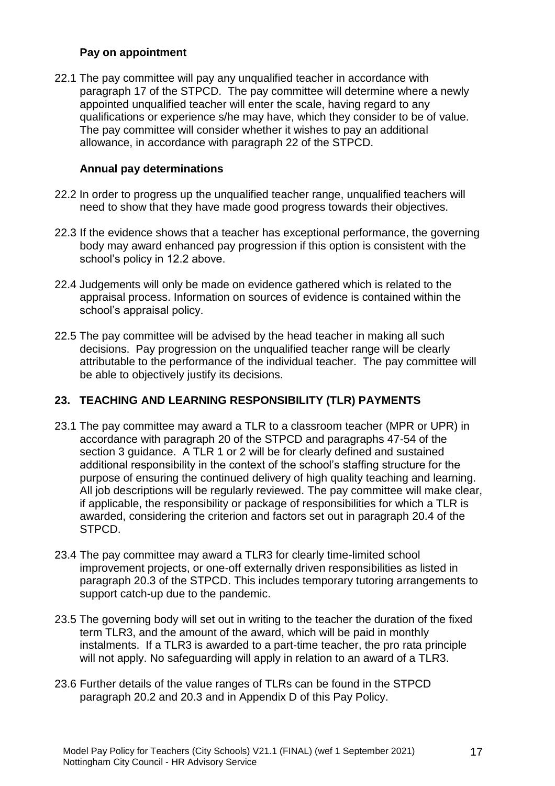#### **Pay on appointment**

22.1 The pay committee will pay any unqualified teacher in accordance with paragraph 17 of the STPCD. The pay committee will determine where a newly appointed unqualified teacher will enter the scale, having regard to any qualifications or experience s/he may have, which they consider to be of value. The pay committee will consider whether it wishes to pay an additional allowance, in accordance with paragraph 22 of the STPCD.

#### **Annual pay determinations**

- 22.2 In order to progress up the unqualified teacher range, unqualified teachers will need to show that they have made good progress towards their objectives.
- 22.3 If the evidence shows that a teacher has exceptional performance, the governing body may award enhanced pay progression if this option is consistent with the school's policy in 12.2 above.
- 22.4 Judgements will only be made on evidence gathered which is related to the appraisal process. Information on sources of evidence is contained within the school's appraisal policy.
- 22.5 The pay committee will be advised by the head teacher in making all such decisions. Pay progression on the unqualified teacher range will be clearly attributable to the performance of the individual teacher. The pay committee will be able to objectively justify its decisions.

#### **23. TEACHING AND LEARNING RESPONSIBILITY (TLR) PAYMENTS**

- 23.1 The pay committee may award a TLR to a classroom teacher (MPR or UPR) in accordance with paragraph 20 of the STPCD and paragraphs 47-54 of the section 3 guidance. A TLR 1 or 2 will be for clearly defined and sustained additional responsibility in the context of the school's staffing structure for the purpose of ensuring the continued delivery of high quality teaching and learning. All job descriptions will be regularly reviewed. The pay committee will make clear, if applicable, the responsibility or package of responsibilities for which a TLR is awarded, considering the criterion and factors set out in paragraph 20.4 of the STPCD.
- 23.4 The pay committee may award a TLR3 for clearly time-limited school improvement projects, or one-off externally driven responsibilities as listed in paragraph 20.3 of the STPCD. This includes temporary tutoring arrangements to support catch-up due to the pandemic.
- 23.5 The governing body will set out in writing to the teacher the duration of the fixed term TLR3, and the amount of the award, which will be paid in monthly instalments. If a TLR3 is awarded to a part-time teacher, the pro rata principle will not apply. No safeguarding will apply in relation to an award of a TLR3.
- 23.6 Further details of the value ranges of TLRs can be found in the STPCD paragraph 20.2 and 20.3 and in Appendix D of this Pay Policy.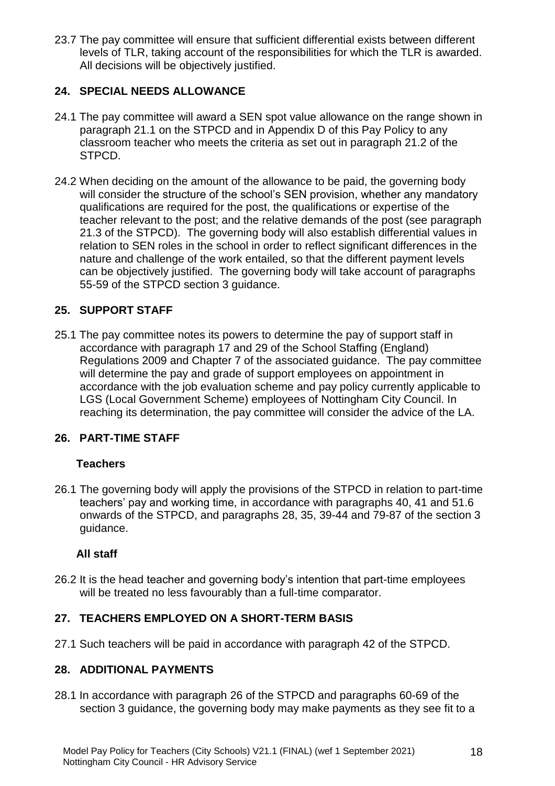23.7 The pay committee will ensure that sufficient differential exists between different levels of TLR, taking account of the responsibilities for which the TLR is awarded. All decisions will be objectively justified.

## **24. SPECIAL NEEDS ALLOWANCE**

- 24.1 The pay committee will award a SEN spot value allowance on the range shown in paragraph 21.1 on the STPCD and in Appendix D of this Pay Policy to any classroom teacher who meets the criteria as set out in paragraph 21.2 of the STPCD.
- 24.2 When deciding on the amount of the allowance to be paid, the governing body will consider the structure of the school's SEN provision, whether any mandatory qualifications are required for the post, the qualifications or expertise of the teacher relevant to the post; and the relative demands of the post (see paragraph 21.3 of the STPCD). The governing body will also establish differential values in relation to SEN roles in the school in order to reflect significant differences in the nature and challenge of the work entailed, so that the different payment levels can be objectively justified. The governing body will take account of paragraphs 55-59 of the STPCD section 3 guidance.

#### **25. SUPPORT STAFF**

25.1 The pay committee notes its powers to determine the pay of support staff in accordance with paragraph 17 and 29 of the School Staffing (England) Regulations 2009 and Chapter 7 of the associated guidance. The pay committee will determine the pay and grade of support employees on appointment in accordance with the job evaluation scheme and pay policy currently applicable to LGS (Local Government Scheme) employees of Nottingham City Council. In reaching its determination, the pay committee will consider the advice of the LA.

#### **26. PART-TIME STAFF**

#### **Teachers**

26.1 The governing body will apply the provisions of the STPCD in relation to part-time teachers' pay and working time, in accordance with paragraphs 40, 41 and 51.6 onwards of the STPCD, and paragraphs 28, 35, 39-44 and 79-87 of the section 3 guidance.

#### **All staff**

26.2 It is the head teacher and governing body's intention that part-time employees will be treated no less favourably than a full-time comparator.

## **27. TEACHERS EMPLOYED ON A SHORT-TERM BASIS**

27.1 Such teachers will be paid in accordance with paragraph 42 of the STPCD.

#### **28. ADDITIONAL PAYMENTS**

28.1 In accordance with paragraph 26 of the STPCD and paragraphs 60-69 of the section 3 guidance, the governing body may make payments as they see fit to a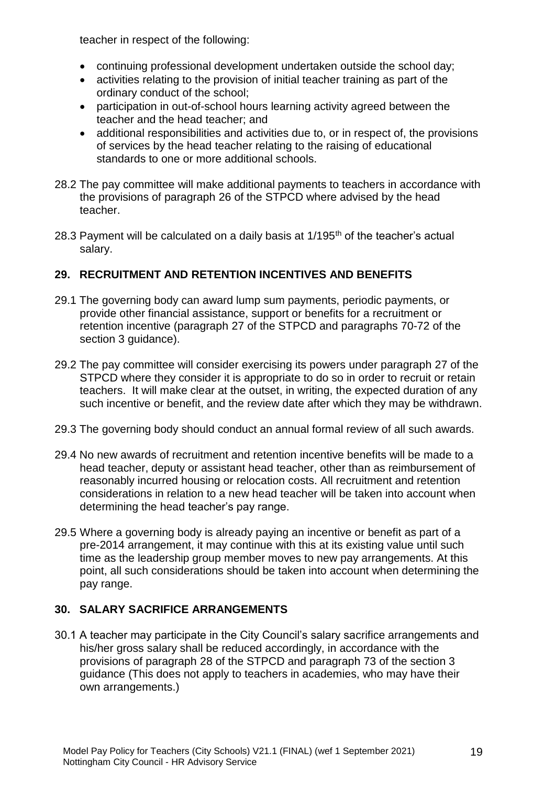teacher in respect of the following:

- continuing professional development undertaken outside the school day;
- activities relating to the provision of initial teacher training as part of the ordinary conduct of the school;
- participation in out-of-school hours learning activity agreed between the teacher and the head teacher; and
- additional responsibilities and activities due to, or in respect of, the provisions of services by the head teacher relating to the raising of educational standards to one or more additional schools.
- 28.2 The pay committee will make additional payments to teachers in accordance with the provisions of paragraph 26 of the STPCD where advised by the head teacher.
- 28.3 Payment will be calculated on a daily basis at  $1/195<sup>th</sup>$  of the teacher's actual salary.

## **29. RECRUITMENT AND RETENTION INCENTIVES AND BENEFITS**

- 29.1 The governing body can award lump sum payments, periodic payments, or provide other financial assistance, support or benefits for a recruitment or retention incentive (paragraph 27 of the STPCD and paragraphs 70-72 of the section 3 guidance).
- 29.2 The pay committee will consider exercising its powers under paragraph 27 of the STPCD where they consider it is appropriate to do so in order to recruit or retain teachers. It will make clear at the outset, in writing, the expected duration of any such incentive or benefit, and the review date after which they may be withdrawn.
- 29.3 The governing body should conduct an annual formal review of all such awards.
- 29.4 No new awards of recruitment and retention incentive benefits will be made to a head teacher, deputy or assistant head teacher, other than as reimbursement of reasonably incurred housing or relocation costs. All recruitment and retention considerations in relation to a new head teacher will be taken into account when determining the head teacher's pay range.
- 29.5 Where a governing body is already paying an incentive or benefit as part of a pre-2014 arrangement, it may continue with this at its existing value until such time as the leadership group member moves to new pay arrangements. At this point, all such considerations should be taken into account when determining the pay range.

## **30. SALARY SACRIFICE ARRANGEMENTS**

30.1 A teacher may participate in the City Council's salary sacrifice arrangements and his/her gross salary shall be reduced accordingly, in accordance with the provisions of paragraph 28 of the STPCD and paragraph 73 of the section 3 guidance (This does not apply to teachers in academies, who may have their own arrangements.)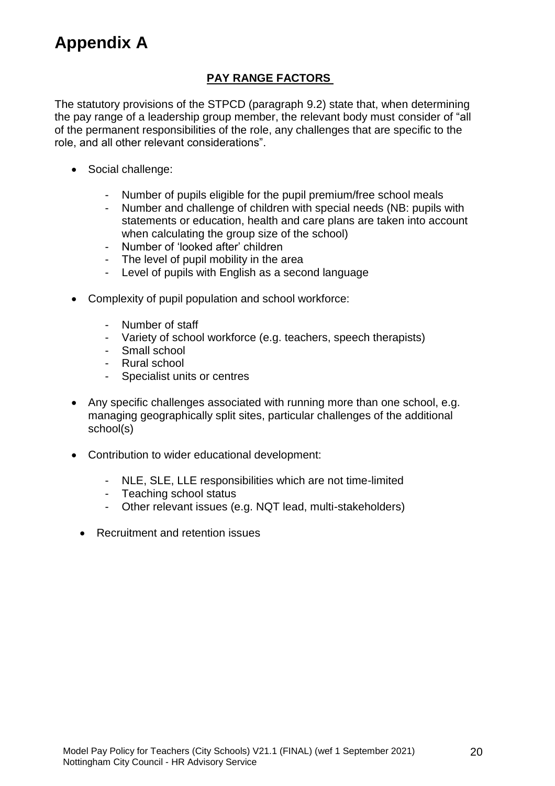## **Appendix A**

#### **PAY RANGE FACTORS**

The statutory provisions of the STPCD (paragraph 9.2) state that, when determining the pay range of a leadership group member, the relevant body must consider of "all of the permanent responsibilities of the role, any challenges that are specific to the role, and all other relevant considerations".

- Social challenge:
	- Number of pupils eligible for the pupil premium/free school meals
	- Number and challenge of children with special needs (NB: pupils with statements or education, health and care plans are taken into account when calculating the group size of the school)
	- Number of 'looked after' children
	- The level of pupil mobility in the area
	- Level of pupils with English as a second language
- Complexity of pupil population and school workforce:
	- Number of staff
	- Variety of school workforce (e.g. teachers, speech therapists)
	- Small school
	- Rural school
	- Specialist units or centres
- Any specific challenges associated with running more than one school, e.g. managing geographically split sites, particular challenges of the additional school(s)
- Contribution to wider educational development:
	- NLE, SLE, LLE responsibilities which are not time-limited
	- Teaching school status
	- Other relevant issues (e.g. NQT lead, multi-stakeholders)
	- Recruitment and retention issues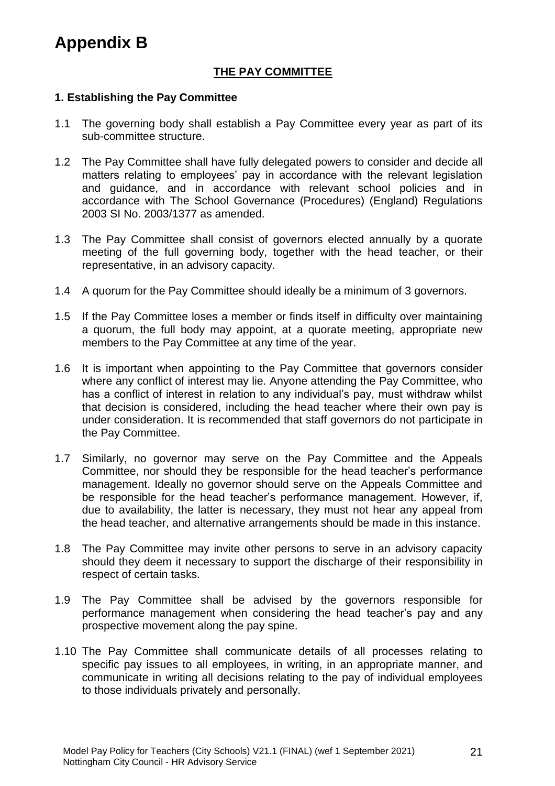## **THE PAY COMMITTEE**

#### **1. Establishing the Pay Committee**

- 1.1 The governing body shall establish a Pay Committee every year as part of its sub-committee structure.
- 1.2 The Pay Committee shall have fully delegated powers to consider and decide all matters relating to employees' pay in accordance with the relevant legislation and guidance, and in accordance with relevant school policies and in accordance with The School Governance (Procedures) (England) Regulations 2003 SI No. 2003/1377 as amended.
- 1.3 The Pay Committee shall consist of governors elected annually by a quorate meeting of the full governing body, together with the head teacher, or their representative, in an advisory capacity.
- 1.4 A quorum for the Pay Committee should ideally be a minimum of 3 governors.
- 1.5 If the Pay Committee loses a member or finds itself in difficulty over maintaining a quorum, the full body may appoint, at a quorate meeting, appropriate new members to the Pay Committee at any time of the year.
- 1.6 It is important when appointing to the Pay Committee that governors consider where any conflict of interest may lie. Anyone attending the Pay Committee, who has a conflict of interest in relation to any individual's pay, must withdraw whilst that decision is considered, including the head teacher where their own pay is under consideration. It is recommended that staff governors do not participate in the Pay Committee.
- 1.7 Similarly, no governor may serve on the Pay Committee and the Appeals Committee, nor should they be responsible for the head teacher's performance management. Ideally no governor should serve on the Appeals Committee and be responsible for the head teacher's performance management. However, if, due to availability, the latter is necessary, they must not hear any appeal from the head teacher, and alternative arrangements should be made in this instance.
- 1.8 The Pay Committee may invite other persons to serve in an advisory capacity should they deem it necessary to support the discharge of their responsibility in respect of certain tasks.
- 1.9 The Pay Committee shall be advised by the governors responsible for performance management when considering the head teacher's pay and any prospective movement along the pay spine.
- 1.10 The Pay Committee shall communicate details of all processes relating to specific pay issues to all employees, in writing, in an appropriate manner, and communicate in writing all decisions relating to the pay of individual employees to those individuals privately and personally.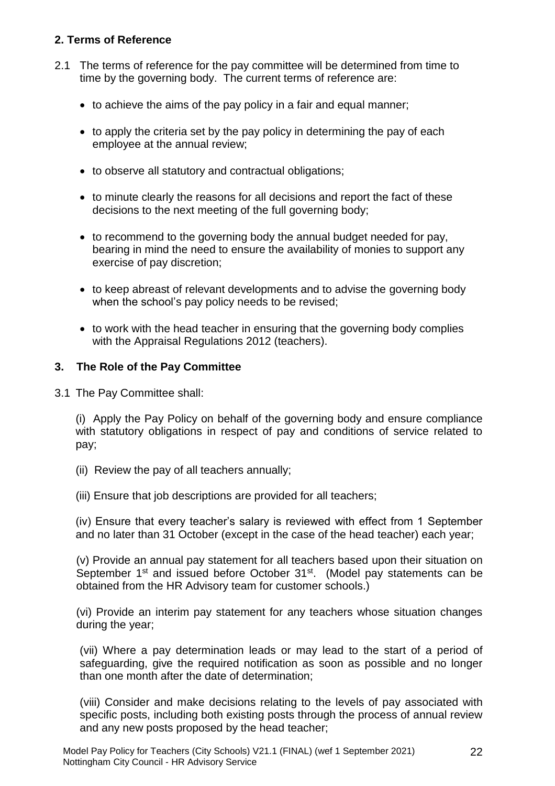#### **2. Terms of Reference**

- 2.1 The terms of reference for the pay committee will be determined from time to time by the governing body. The current terms of reference are:
	- to achieve the aims of the pay policy in a fair and equal manner;
	- to apply the criteria set by the pay policy in determining the pay of each employee at the annual review;
	- to observe all statutory and contractual obligations;
	- to minute clearly the reasons for all decisions and report the fact of these decisions to the next meeting of the full governing body;
	- to recommend to the governing body the annual budget needed for pay, bearing in mind the need to ensure the availability of monies to support any exercise of pay discretion;
	- to keep abreast of relevant developments and to advise the governing body when the school's pay policy needs to be revised;
	- to work with the head teacher in ensuring that the governing body complies with the Appraisal Regulations 2012 (teachers).

#### **3. The Role of the Pay Committee**

3.1 The Pay Committee shall:

(i) Apply the Pay Policy on behalf of the governing body and ensure compliance with statutory obligations in respect of pay and conditions of service related to pay;

- (ii) Review the pay of all teachers annually;
- (iii) Ensure that job descriptions are provided for all teachers;

(iv) Ensure that every teacher's salary is reviewed with effect from 1 September and no later than 31 October (except in the case of the head teacher) each year;

(v) Provide an annual pay statement for all teachers based upon their situation on September 1<sup>st</sup> and issued before October 31<sup>st</sup>. (Model pay statements can be obtained from the HR Advisory team for customer schools.)

(vi) Provide an interim pay statement for any teachers whose situation changes during the year;

(vii) Where a pay determination leads or may lead to the start of a period of safeguarding, give the required notification as soon as possible and no longer than one month after the date of determination;

(viii) Consider and make decisions relating to the levels of pay associated with specific posts, including both existing posts through the process of annual review and any new posts proposed by the head teacher;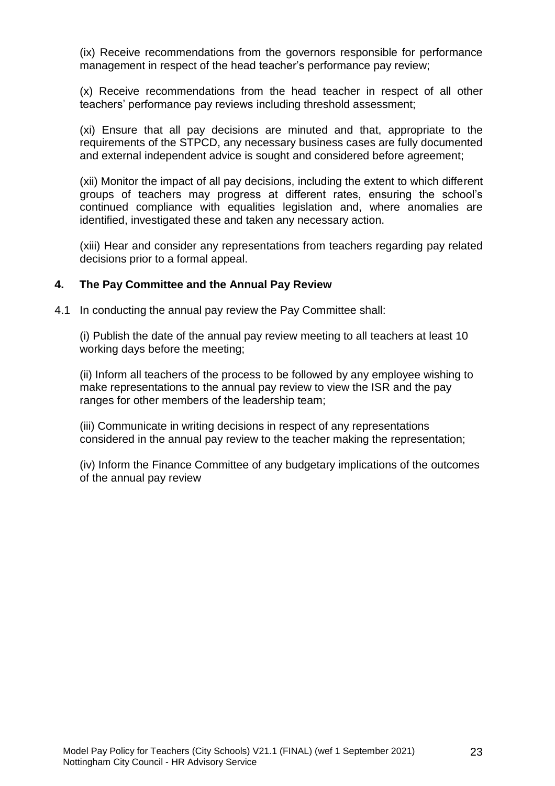(ix) Receive recommendations from the governors responsible for performance management in respect of the head teacher's performance pay review;

(x) Receive recommendations from the head teacher in respect of all other teachers' performance pay reviews including threshold assessment;

(xi) Ensure that all pay decisions are minuted and that, appropriate to the requirements of the STPCD, any necessary business cases are fully documented and external independent advice is sought and considered before agreement;

(xii) Monitor the impact of all pay decisions, including the extent to which different groups of teachers may progress at different rates, ensuring the school's continued compliance with equalities legislation and, where anomalies are identified, investigated these and taken any necessary action.

(xiii) Hear and consider any representations from teachers regarding pay related decisions prior to a formal appeal.

#### **4. The Pay Committee and the Annual Pay Review**

4.1 In conducting the annual pay review the Pay Committee shall:

(i) Publish the date of the annual pay review meeting to all teachers at least 10 working days before the meeting;

(ii) Inform all teachers of the process to be followed by any employee wishing to make representations to the annual pay review to view the ISR and the pay ranges for other members of the leadership team;

(iii) Communicate in writing decisions in respect of any representations considered in the annual pay review to the teacher making the representation;

(iv) Inform the Finance Committee of any budgetary implications of the outcomes of the annual pay review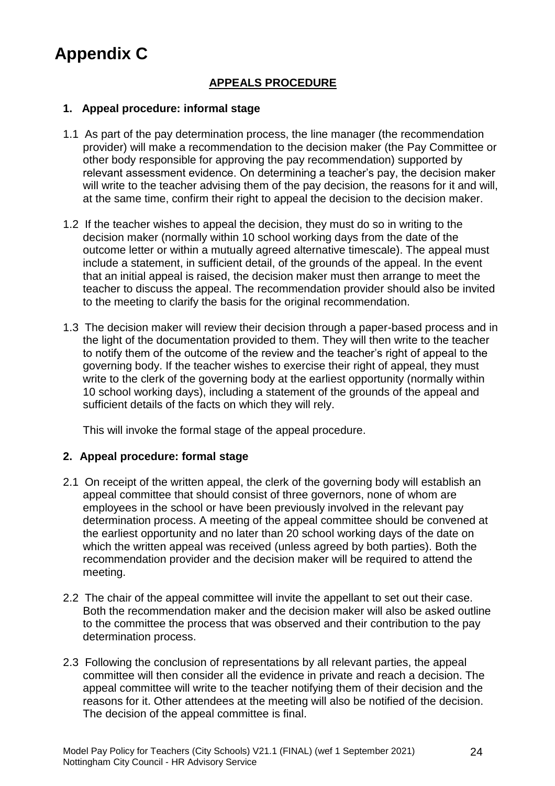## **Appendix C**

## **APPEALS PROCEDURE**

#### **1. Appeal procedure: informal stage**

- 1.1 As part of the pay determination process, the line manager (the recommendation provider) will make a recommendation to the decision maker (the Pay Committee or other body responsible for approving the pay recommendation) supported by relevant assessment evidence. On determining a teacher's pay, the decision maker will write to the teacher advising them of the pay decision, the reasons for it and will, at the same time, confirm their right to appeal the decision to the decision maker.
- 1.2 If the teacher wishes to appeal the decision, they must do so in writing to the decision maker (normally within 10 school working days from the date of the outcome letter or within a mutually agreed alternative timescale). The appeal must include a statement, in sufficient detail, of the grounds of the appeal. In the event that an initial appeal is raised, the decision maker must then arrange to meet the teacher to discuss the appeal. The recommendation provider should also be invited to the meeting to clarify the basis for the original recommendation.
- 1.3 The decision maker will review their decision through a paper-based process and in the light of the documentation provided to them. They will then write to the teacher to notify them of the outcome of the review and the teacher's right of appeal to the governing body. If the teacher wishes to exercise their right of appeal, they must write to the clerk of the governing body at the earliest opportunity (normally within 10 school working days), including a statement of the grounds of the appeal and sufficient details of the facts on which they will rely.

This will invoke the formal stage of the appeal procedure.

#### **2. Appeal procedure: formal stage**

- 2.1 On receipt of the written appeal, the clerk of the governing body will establish an appeal committee that should consist of three governors, none of whom are employees in the school or have been previously involved in the relevant pay determination process. A meeting of the appeal committee should be convened at the earliest opportunity and no later than 20 school working days of the date on which the written appeal was received (unless agreed by both parties). Both the recommendation provider and the decision maker will be required to attend the meeting.
- 2.2 The chair of the appeal committee will invite the appellant to set out their case. Both the recommendation maker and the decision maker will also be asked outline to the committee the process that was observed and their contribution to the pay determination process.
- 2.3 Following the conclusion of representations by all relevant parties, the appeal committee will then consider all the evidence in private and reach a decision. The appeal committee will write to the teacher notifying them of their decision and the reasons for it. Other attendees at the meeting will also be notified of the decision. The decision of the appeal committee is final.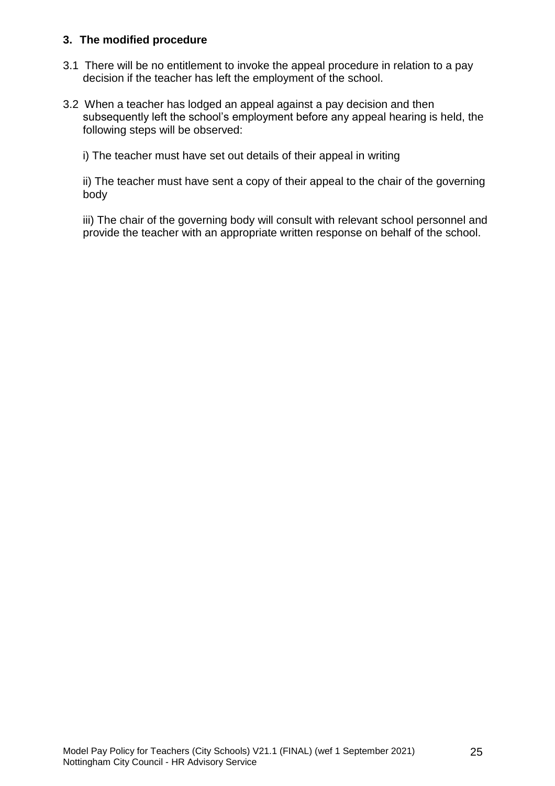#### **3. The modified procedure**

- 3.1 There will be no entitlement to invoke the appeal procedure in relation to a pay decision if the teacher has left the employment of the school.
- 3.2 When a teacher has lodged an appeal against a pay decision and then subsequently left the school's employment before any appeal hearing is held, the following steps will be observed:

i) The teacher must have set out details of their appeal in writing

ii) The teacher must have sent a copy of their appeal to the chair of the governing body

iii) The chair of the governing body will consult with relevant school personnel and provide the teacher with an appropriate written response on behalf of the school.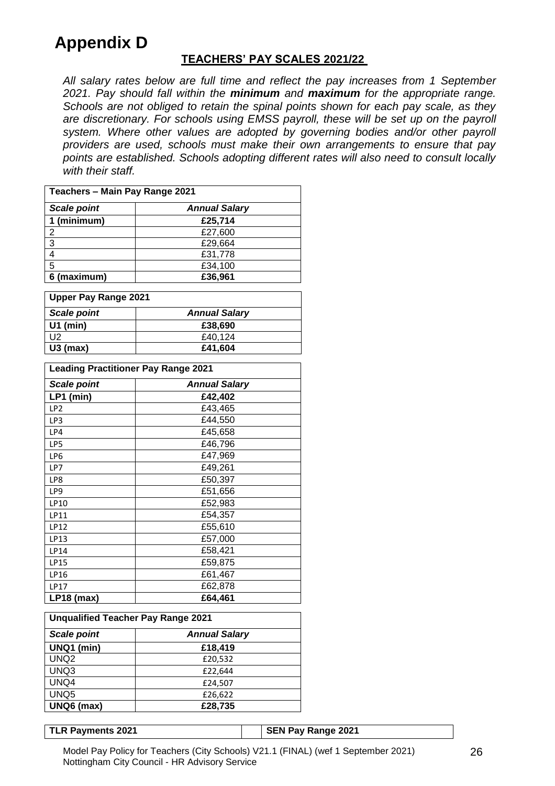## **Appendix D**

#### **TEACHERS' PAY SCALES 2021/22**

*All salary rates below are full time and reflect the pay increases from 1 September 2021. Pay should fall within the minimum and maximum for the appropriate range. Schools are not obliged to retain the spinal points shown for each pay scale, as they are discretionary. For schools using EMSS payroll, these will be set up on the payroll system. Where other values are adopted by governing bodies and/or other payroll providers are used, schools must make their own arrangements to ensure that pay points are established. Schools adopting different rates will also need to consult locally with their staff.*

| Teachers - Main Pay Range 2021             |         |  |  |  |  |  |
|--------------------------------------------|---------|--|--|--|--|--|
| <b>Scale point</b><br><b>Annual Salary</b> |         |  |  |  |  |  |
| 1 (minimum)                                | £25,714 |  |  |  |  |  |
| $\overline{2}$                             | £27,600 |  |  |  |  |  |
| 3                                          | £29,664 |  |  |  |  |  |
| 4                                          | £31,778 |  |  |  |  |  |
| 5                                          | £34,100 |  |  |  |  |  |
| 6 (maximum)                                | £36,961 |  |  |  |  |  |

| <b>Upper Pay Range 2021</b> |                      |  |  |  |
|-----------------------------|----------------------|--|--|--|
| <b>Scale point</b>          | <b>Annual Salary</b> |  |  |  |
| $U1$ (min)                  | £38.690              |  |  |  |
| U2                          | £40.124              |  |  |  |
| $U3$ (max)                  | £41,604              |  |  |  |

| <b>Leading Practitioner Pay Range 2021</b> |                      |  |  |  |  |
|--------------------------------------------|----------------------|--|--|--|--|
| <b>Scale point</b>                         | <b>Annual Salary</b> |  |  |  |  |
| LP1 (min)                                  | £42,402              |  |  |  |  |
| LP <sub>2</sub>                            | £43,465              |  |  |  |  |
| LP3                                        | £44,550              |  |  |  |  |
| LP4                                        | £45,658              |  |  |  |  |
| LP5                                        | £46,796              |  |  |  |  |
| LP <sub>6</sub>                            | £47,969              |  |  |  |  |
| LP7                                        | £49,261              |  |  |  |  |
| LP8                                        | £50,397              |  |  |  |  |
| LP <sub>9</sub>                            | £51,656              |  |  |  |  |
| LP10                                       | £52,983              |  |  |  |  |
| <b>LP11</b>                                | £54,357              |  |  |  |  |
| LP12                                       | £55,610              |  |  |  |  |
| LP13                                       | £57,000              |  |  |  |  |
| <b>LP14</b>                                | £58,421              |  |  |  |  |
| LP15                                       | £59,875              |  |  |  |  |
| <b>LP16</b>                                | £61,467              |  |  |  |  |
| <b>LP17</b>                                | £62,878              |  |  |  |  |
| $LP18$ (max)                               | £64,461              |  |  |  |  |

| <b>Unqualified Teacher Pay Range 2021</b>  |         |  |  |  |  |  |
|--------------------------------------------|---------|--|--|--|--|--|
| <b>Scale point</b><br><b>Annual Salary</b> |         |  |  |  |  |  |
| UNQ1 (min)                                 | £18,419 |  |  |  |  |  |
| UNQ <sub>2</sub>                           | £20,532 |  |  |  |  |  |
| UNQ3                                       | £22,644 |  |  |  |  |  |
| UNQ4                                       | £24,507 |  |  |  |  |  |
| UNQ <sub>5</sub>                           | £26,622 |  |  |  |  |  |
| UNQ6 (max)                                 | £28,735 |  |  |  |  |  |

**TLR Payments 2021 SEN Pay Range 2021**